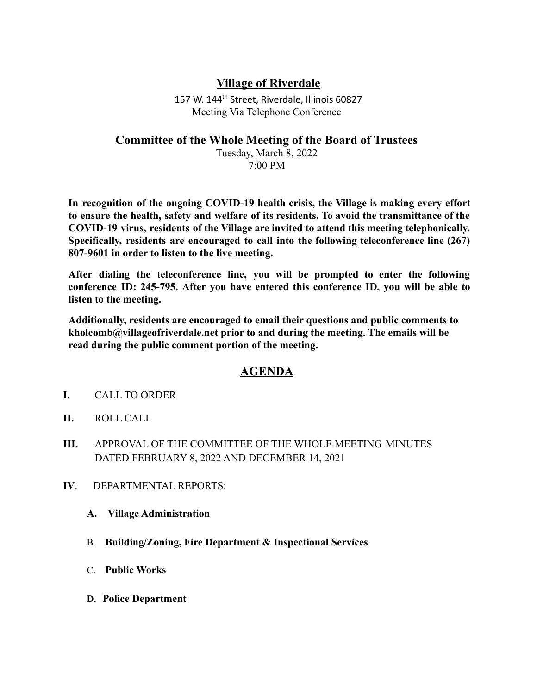## **Village of Riverdale**

157 W. 144<sup>th</sup> Street, Riverdale, Illinois 60827 Meeting Via Telephone Conference

## **Committee of the Whole Meeting of the Board of Trustees**

Tuesday, March 8, 2022 7:00 PM

**In recognition of the ongoing COVID-19 health crisis, the Village is making every effort to ensure the health, safety and welfare of its residents. To avoid the transmittance of the COVID-19 virus, residents of the Village are invited to attend this meeting telephonically. Specifically, residents are encouraged to call into the following teleconference line (267) 807-9601 in order to listen to the live meeting.**

**After dialing the teleconference line, you will be prompted to enter the following conference ID: 245-795. After you have entered this conference ID, you will be able to listen to the meeting.**

**Additionally, residents are encouraged to email their questions and public comments to kholcomb@villageofriverdale.net prior to and during the meeting. The emails will be read during the public comment portion of the meeting.**

## **AGENDA**

- **I.** CALL TO ORDER
- **II.** ROLL CALL
- **III.** APPROVAL OF THE COMMITTEE OF THE WHOLE MEETING MINUTES DATED FEBRUARY 8, 2022 AND DECEMBER 14, 2021
- **IV**. DEPARTMENTAL REPORTS:
	- **A. Village Administration**
	- B. **Building/Zoning, Fire Department & Inspectional Services**
	- C. **Public Works**
	- **D. Police Department**